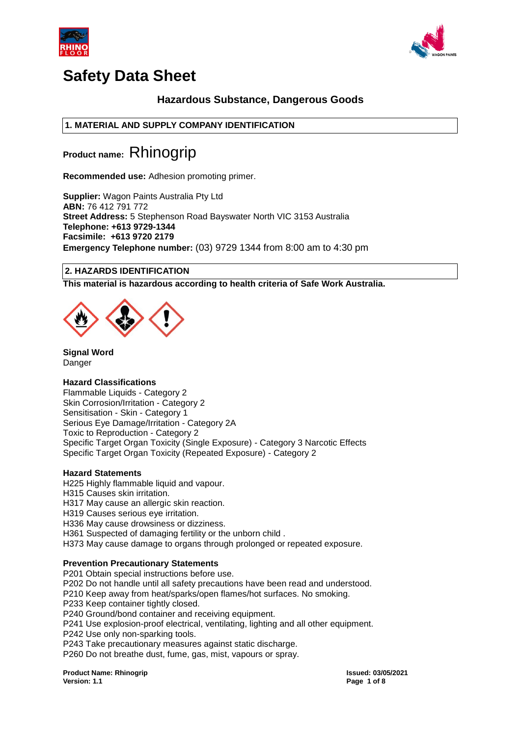



# **Hazardous Substance, Dangerous Goods**

# **1. MATERIAL AND SUPPLY COMPANY IDENTIFICATION**

**Product name:** Rhinogrip

**Recommended use:** Adhesion promoting primer.

**Supplier:** Wagon Paints Australia Pty Ltd **ABN:** 76 412 791 772 **Street Address:** 5 Stephenson Road Bayswater North VIC 3153 Australia **Telephone: +613 9729-1344 Facsimile: +613 9720 2179 Emergency Telephone number:** (03) 9729 1344 from 8:00 am to 4:30 pm

# **2. HAZARDS IDENTIFICATION**

**This material is hazardous according to health criteria of Safe Work Australia.**



**Signal Word** Danger

# **Hazard Classifications**

Flammable Liquids - Category 2 Skin Corrosion/Irritation - Category 2 Sensitisation - Skin - Category 1 Serious Eye Damage/Irritation - Category 2A Toxic to Reproduction - Category 2 Specific Target Organ Toxicity (Single Exposure) - Category 3 Narcotic Effects Specific Target Organ Toxicity (Repeated Exposure) - Category 2

# **Hazard Statements**

H225 Highly flammable liquid and vapour. H315 Causes skin irritation.

H317 May cause an allergic skin reaction.

H319 Causes serious eye irritation.

H336 May cause drowsiness or dizziness.

H361 Suspected of damaging fertility or the unborn child .

H373 May cause damage to organs through prolonged or repeated exposure.

# **Prevention Precautionary Statements**

P201 Obtain special instructions before use. P202 Do not handle until all safety precautions have been read and understood. P210 Keep away from heat/sparks/open flames/hot surfaces. No smoking. P233 Keep container tightly closed. P240 Ground/bond container and receiving equipment. P241 Use explosion-proof electrical, ventilating, lighting and all other equipment. P242 Use only non-sparking tools. P243 Take precautionary measures against static discharge. P260 Do not breathe dust, fume, gas, mist, vapours or spray.

**Product Name: Rhinogrip Issued: 03/05/2021 Version: 1.1 Page 1 of 8**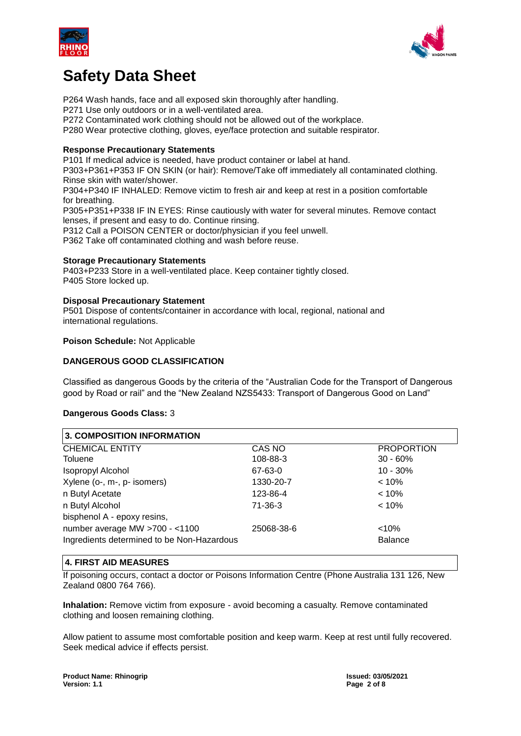



P264 Wash hands, face and all exposed skin thoroughly after handling.

P271 Use only outdoors or in a well-ventilated area.

P272 Contaminated work clothing should not be allowed out of the workplace.

P280 Wear protective clothing, gloves, eye/face protection and suitable respirator.

# **Response Precautionary Statements**

P101 If medical advice is needed, have product container or label at hand.

P303+P361+P353 IF ON SKIN (or hair): Remove/Take off immediately all contaminated clothing. Rinse skin with water/shower.

P304+P340 IF INHALED: Remove victim to fresh air and keep at rest in a position comfortable for breathing.

P305+P351+P338 IF IN EYES: Rinse cautiously with water for several minutes. Remove contact lenses, if present and easy to do. Continue rinsing.

P312 Call a POISON CENTER or doctor/physician if you feel unwell.

P362 Take off contaminated clothing and wash before reuse.

## **Storage Precautionary Statements**

P403+P233 Store in a well-ventilated place. Keep container tightly closed. P405 Store locked up.

## **Disposal Precautionary Statement**

P501 Dispose of contents/container in accordance with local, regional, national and international regulations.

## **Poison Schedule:** Not Applicable

# **DANGEROUS GOOD CLASSIFICATION**

Classified as dangerous Goods by the criteria of the "Australian Code for the Transport of Dangerous good by Road or rail" and the "New Zealand NZS5433: Transport of Dangerous Good on Land"

# **Dangerous Goods Class:** 3

| <b>3. COMPOSITION INFORMATION</b>          |            |                   |  |  |  |  |
|--------------------------------------------|------------|-------------------|--|--|--|--|
| <b>CHEMICAL ENTITY</b>                     | CAS NO     | <b>PROPORTION</b> |  |  |  |  |
| Toluene                                    | 108-88-3   | $30 - 60\%$       |  |  |  |  |
| <b>Isopropyl Alcohol</b>                   | 67-63-0    | $10 - 30%$        |  |  |  |  |
| Xylene (o-, m-, p- isomers)                | 1330-20-7  | $< 10\%$          |  |  |  |  |
| n Butyl Acetate                            | 123-86-4   | $< 10\%$          |  |  |  |  |
| n Butyl Alcohol                            | 71-36-3    | $< 10\%$          |  |  |  |  |
| bisphenol A - epoxy resins,                |            |                   |  |  |  |  |
| number average MW >700 - <1100             | 25068-38-6 | $< 10\%$          |  |  |  |  |
| Ingredients determined to be Non-Hazardous |            | <b>Balance</b>    |  |  |  |  |
|                                            |            |                   |  |  |  |  |

# **4. FIRST AID MEASURES**

If poisoning occurs, contact a doctor or Poisons Information Centre (Phone Australia 131 126, New Zealand 0800 764 766).

**Inhalation:** Remove victim from exposure - avoid becoming a casualty. Remove contaminated clothing and loosen remaining clothing.

Allow patient to assume most comfortable position and keep warm. Keep at rest until fully recovered. Seek medical advice if effects persist.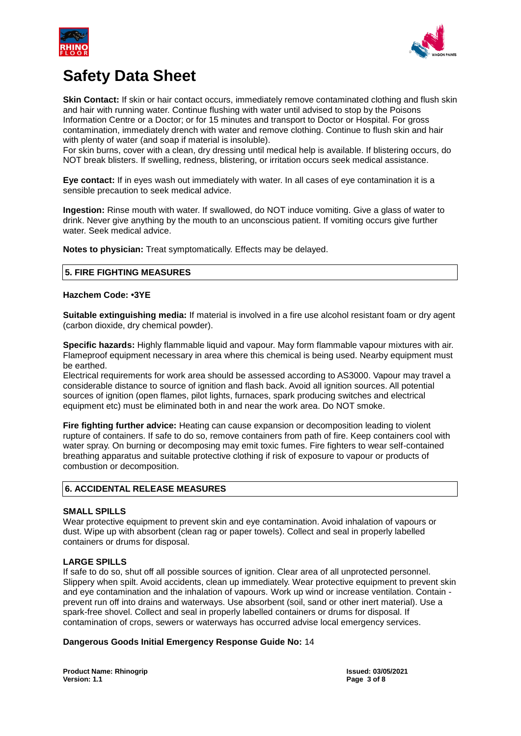



**Skin Contact:** If skin or hair contact occurs, immediately remove contaminated clothing and flush skin and hair with running water. Continue flushing with water until advised to stop by the Poisons Information Centre or a Doctor; or for 15 minutes and transport to Doctor or Hospital. For gross contamination, immediately drench with water and remove clothing. Continue to flush skin and hair with plenty of water (and soap if material is insoluble).

For skin burns, cover with a clean, dry dressing until medical help is available. If blistering occurs, do NOT break blisters. If swelling, redness, blistering, or irritation occurs seek medical assistance.

**Eye contact:** If in eyes wash out immediately with water. In all cases of eye contamination it is a sensible precaution to seek medical advice.

**Ingestion:** Rinse mouth with water. If swallowed, do NOT induce vomiting. Give a glass of water to drink. Never give anything by the mouth to an unconscious patient. If vomiting occurs give further water. Seek medical advice.

**Notes to physician:** Treat symptomatically. Effects may be delayed.

# **5. FIRE FIGHTING MEASURES**

## **Hazchem Code: •3YE**

**Suitable extinguishing media:** If material is involved in a fire use alcohol resistant foam or dry agent (carbon dioxide, dry chemical powder).

**Specific hazards:** Highly flammable liquid and vapour. May form flammable vapour mixtures with air. Flameproof equipment necessary in area where this chemical is being used. Nearby equipment must be earthed.

Electrical requirements for work area should be assessed according to AS3000. Vapour may travel a considerable distance to source of ignition and flash back. Avoid all ignition sources. All potential sources of ignition (open flames, pilot lights, furnaces, spark producing switches and electrical equipment etc) must be eliminated both in and near the work area. Do NOT smoke.

**Fire fighting further advice:** Heating can cause expansion or decomposition leading to violent rupture of containers. If safe to do so, remove containers from path of fire. Keep containers cool with water spray. On burning or decomposing may emit toxic fumes. Fire fighters to wear self-contained breathing apparatus and suitable protective clothing if risk of exposure to vapour or products of combustion or decomposition.

# **6. ACCIDENTAL RELEASE MEASURES**

# **SMALL SPILLS**

Wear protective equipment to prevent skin and eye contamination. Avoid inhalation of vapours or dust. Wipe up with absorbent (clean rag or paper towels). Collect and seal in properly labelled containers or drums for disposal.

### **LARGE SPILLS**

If safe to do so, shut off all possible sources of ignition. Clear area of all unprotected personnel. Slippery when spilt. Avoid accidents, clean up immediately. Wear protective equipment to prevent skin and eye contamination and the inhalation of vapours. Work up wind or increase ventilation. Contain prevent run off into drains and waterways. Use absorbent (soil, sand or other inert material). Use a spark-free shovel. Collect and seal in properly labelled containers or drums for disposal. If contamination of crops, sewers or waterways has occurred advise local emergency services.

### **Dangerous Goods Initial Emergency Response Guide No:** 14

**Product Name: Rhinogrip Issued: 03/05/2021 Version: 1.1 Page 3 of 8**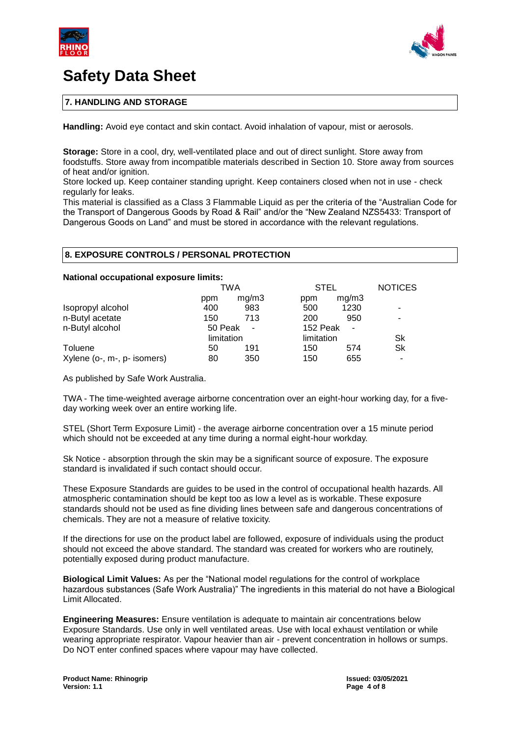



# **7. HANDLING AND STORAGE**

**Handling:** Avoid eye contact and skin contact. Avoid inhalation of vapour, mist or aerosols.

**Storage:** Store in a cool, dry, well-ventilated place and out of direct sunlight. Store away from foodstuffs. Store away from incompatible materials described in Section 10. Store away from sources of heat and/or ignition.

Store locked up. Keep container standing upright. Keep containers closed when not in use - check regularly for leaks.

This material is classified as a Class 3 Flammable Liquid as per the criteria of the "Australian Code for the Transport of Dangerous Goods by Road & Rail" and/or the "New Zealand NZS5433: Transport of Dangerous Goods on Land" and must be stored in accordance with the relevant regulations.

#### **8. EXPOSURE CONTROLS / PERSONAL PROTECTION**

#### **National occupational exposure limits:**

|                             | TWA        |       |            | <b>STEL</b> |                          |
|-----------------------------|------------|-------|------------|-------------|--------------------------|
|                             | ppm        | mq/m3 | ppm        | mg/m3       |                          |
| Isopropyl alcohol           | 400        | 983   | 500        | 1230        | $\overline{\phantom{a}}$ |
| n-Butyl acetate             | 150        | 713   | 200        | 950         | ۰                        |
| n-Butyl alcohol             | 50 Peak    |       | 152 Peak   | $\sim$      |                          |
|                             | limitation |       | limitation |             | Sk                       |
| Toluene                     | 50         | 191   | 150        | 574         | Sk                       |
| Xylene (o-, m-, p- isomers) | 80         | 350   | 150        | 655         |                          |

As published by Safe Work Australia.

TWA - The time-weighted average airborne concentration over an eight-hour working day, for a fiveday working week over an entire working life.

STEL (Short Term Exposure Limit) - the average airborne concentration over a 15 minute period which should not be exceeded at any time during a normal eight-hour workday.

Sk Notice - absorption through the skin may be a significant source of exposure. The exposure standard is invalidated if such contact should occur.

These Exposure Standards are guides to be used in the control of occupational health hazards. All atmospheric contamination should be kept too as low a level as is workable. These exposure standards should not be used as fine dividing lines between safe and dangerous concentrations of chemicals. They are not a measure of relative toxicity.

If the directions for use on the product label are followed, exposure of individuals using the product should not exceed the above standard. The standard was created for workers who are routinely, potentially exposed during product manufacture.

**Biological Limit Values:** As per the "National model regulations for the control of workplace hazardous substances (Safe Work Australia)" The ingredients in this material do not have a Biological Limit Allocated.

**Engineering Measures:** Ensure ventilation is adequate to maintain air concentrations below Exposure Standards. Use only in well ventilated areas. Use with local exhaust ventilation or while wearing appropriate respirator. Vapour heavier than air - prevent concentration in hollows or sumps. Do NOT enter confined spaces where vapour may have collected.

**Page 4 of 8**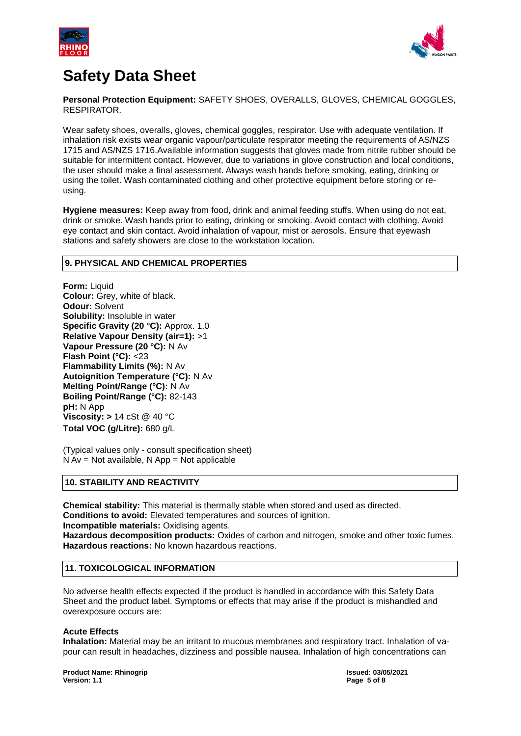



**Personal Protection Equipment:** SAFETY SHOES, OVERALLS, GLOVES, CHEMICAL GOGGLES, RESPIRATOR.

Wear safety shoes, overalls, gloves, chemical goggles, respirator. Use with adequate ventilation. If inhalation risk exists wear organic vapour/particulate respirator meeting the requirements of AS/NZS 1715 and AS/NZS 1716.Available information suggests that gloves made from nitrile rubber should be suitable for intermittent contact. However, due to variations in glove construction and local conditions, the user should make a final assessment. Always wash hands before smoking, eating, drinking or using the toilet. Wash contaminated clothing and other protective equipment before storing or reusing.

**Hygiene measures:** Keep away from food, drink and animal feeding stuffs. When using do not eat, drink or smoke. Wash hands prior to eating, drinking or smoking. Avoid contact with clothing. Avoid eye contact and skin contact. Avoid inhalation of vapour, mist or aerosols. Ensure that eyewash stations and safety showers are close to the workstation location.

## **9. PHYSICAL AND CHEMICAL PROPERTIES**

**Form:** Liquid **Colour:** Grey, white of black. **Odour:** Solvent **Solubility:** Insoluble in water **Specific Gravity (20 °C):** Approx. 1.0 **Relative Vapour Density (air=1):** >1 **Vapour Pressure (20 °C):** N Av **Flash Point (°C):** <23 **Flammability Limits (%):** N Av **Autoignition Temperature (°C):** N Av **Melting Point/Range (°C):** N Av **Boiling Point/Range (°C):** 82-143 **pH:** N App **Viscosity: >** 14 cSt @ 40 °C **Total VOC (g/Litre):** 680 g/L

(Typical values only - consult specification sheet)  $N Av = Not available$ ,  $N App = Not applicable$ 

## **10. STABILITY AND REACTIVITY**

**Chemical stability:** This material is thermally stable when stored and used as directed. **Conditions to avoid:** Elevated temperatures and sources of ignition. **Incompatible materials:** Oxidising agents.

**Hazardous decomposition products:** Oxides of carbon and nitrogen, smoke and other toxic fumes. **Hazardous reactions:** No known hazardous reactions.

# **11. TOXICOLOGICAL INFORMATION**

No adverse health effects expected if the product is handled in accordance with this Safety Data Sheet and the product label. Symptoms or effects that may arise if the product is mishandled and overexposure occurs are:

### **Acute Effects**

**Inhalation:** Material may be an irritant to mucous membranes and respiratory tract. Inhalation of vapour can result in headaches, dizziness and possible nausea. Inhalation of high concentrations can

**Product Name: Rhinogrip Issued: 03/05/2021 Version: 1.1 Page 5 of 8**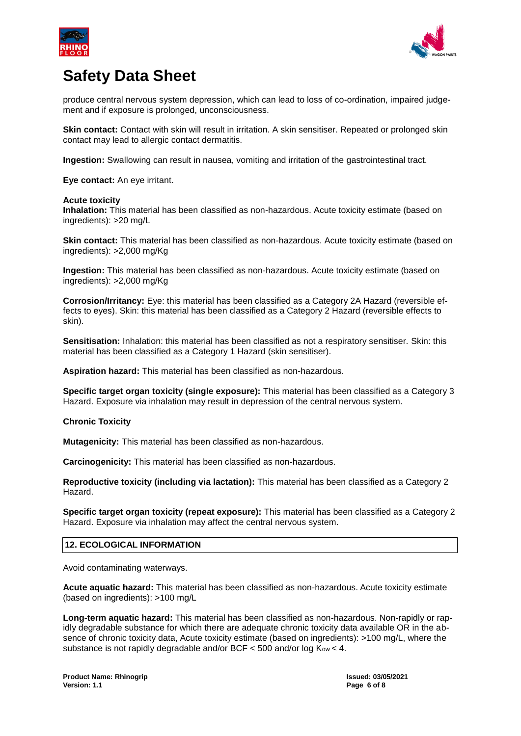



produce central nervous system depression, which can lead to loss of co-ordination, impaired judgement and if exposure is prolonged, unconsciousness.

**Skin contact:** Contact with skin will result in irritation. A skin sensitiser. Repeated or prolonged skin contact may lead to allergic contact dermatitis.

**Ingestion:** Swallowing can result in nausea, vomiting and irritation of the gastrointestinal tract.

**Eye contact:** An eye irritant.

#### **Acute toxicity**

**Inhalation:** This material has been classified as non-hazardous. Acute toxicity estimate (based on ingredients): >20 mg/L

**Skin contact:** This material has been classified as non-hazardous. Acute toxicity estimate (based on ingredients): >2,000 mg/Kg

**Ingestion:** This material has been classified as non-hazardous. Acute toxicity estimate (based on ingredients): >2,000 mg/Kg

**Corrosion/Irritancy:** Eye: this material has been classified as a Category 2A Hazard (reversible effects to eyes). Skin: this material has been classified as a Category 2 Hazard (reversible effects to skin).

**Sensitisation:** Inhalation: this material has been classified as not a respiratory sensitiser. Skin: this material has been classified as a Category 1 Hazard (skin sensitiser).

**Aspiration hazard:** This material has been classified as non-hazardous.

**Specific target organ toxicity (single exposure):** This material has been classified as a Category 3 Hazard. Exposure via inhalation may result in depression of the central nervous system.

### **Chronic Toxicity**

**Mutagenicity:** This material has been classified as non-hazardous.

**Carcinogenicity:** This material has been classified as non-hazardous.

**Reproductive toxicity (including via lactation):** This material has been classified as a Category 2 Hazard.

**Specific target organ toxicity (repeat exposure):** This material has been classified as a Category 2 Hazard. Exposure via inhalation may affect the central nervous system.

### **12. ECOLOGICAL INFORMATION**

Avoid contaminating waterways.

**Acute aquatic hazard:** This material has been classified as non-hazardous. Acute toxicity estimate (based on ingredients): >100 mg/L

**Long-term aquatic hazard:** This material has been classified as non-hazardous. Non-rapidly or rapidly degradable substance for which there are adequate chronic toxicity data available OR in the absence of chronic toxicity data, Acute toxicity estimate (based on ingredients): >100 mg/L, where the substance is not rapidly degradable and/or BCF < 500 and/or log Kow < 4.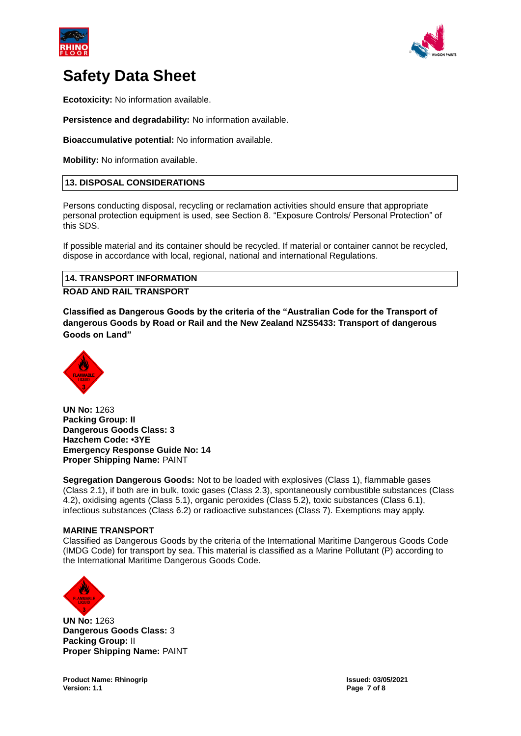



**Ecotoxicity:** No information available.

**Persistence and degradability:** No information available.

**Bioaccumulative potential:** No information available.

**Mobility:** No information available.

# **13. DISPOSAL CONSIDERATIONS**

Persons conducting disposal, recycling or reclamation activities should ensure that appropriate personal protection equipment is used, see Section 8. "Exposure Controls/ Personal Protection" of this SDS.

If possible material and its container should be recycled. If material or container cannot be recycled, dispose in accordance with local, regional, national and international Regulations.

# **14. TRANSPORT INFORMATION ROAD AND RAIL TRANSPORT**

**Classified as Dangerous Goods by the criteria of the "Australian Code for the Transport of dangerous Goods by Road or Rail and the New Zealand NZS5433: Transport of dangerous Goods on Land"**



**UN No:** 1263 **Packing Group: II Dangerous Goods Class: 3 Hazchem Code: •3YE Emergency Response Guide No: 14 Proper Shipping Name:** PAINT

**Segregation Dangerous Goods:** Not to be loaded with explosives (Class 1), flammable gases (Class 2.1), if both are in bulk, toxic gases (Class 2.3), spontaneously combustible substances (Class 4.2), oxidising agents (Class 5.1), organic peroxides (Class 5.2), toxic substances (Class 6.1), infectious substances (Class 6.2) or radioactive substances (Class 7). Exemptions may apply.

### **MARINE TRANSPORT**

Classified as Dangerous Goods by the criteria of the International Maritime Dangerous Goods Code (IMDG Code) for transport by sea. This material is classified as a Marine Pollutant (P) according to the International Maritime Dangerous Goods Code.



**UN No:** 1263 **Dangerous Goods Class:** 3 **Packing Group:** II **Proper Shipping Name:** PAINT

**Product Name: Rhinogrip Issued: 03/05/2021 Version: 1.1 Page 7 of 8**